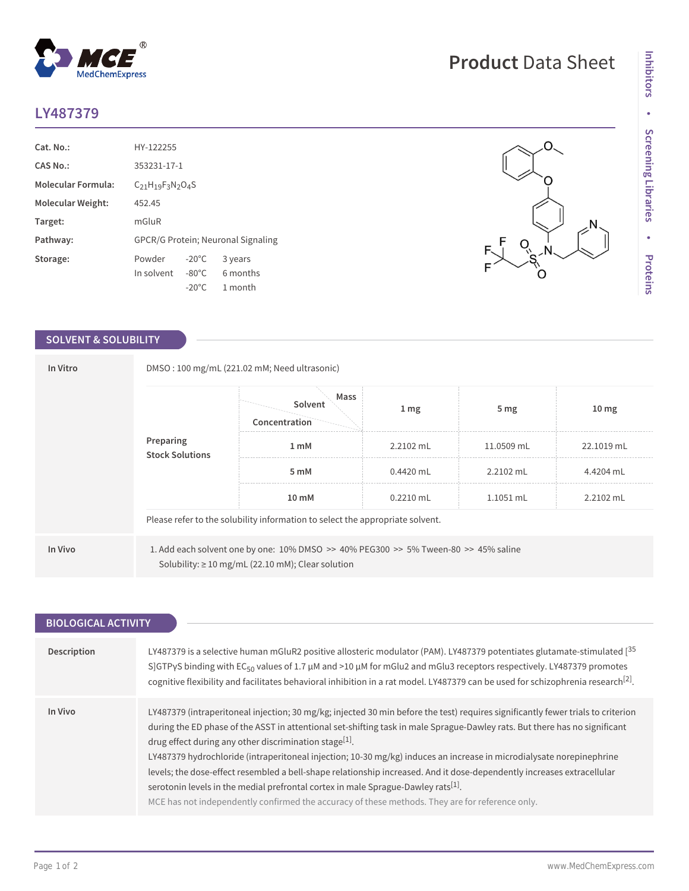## **LY487379**

| Cat. No.:                 | HY-122255                                 |                 |          |  |  |
|---------------------------|-------------------------------------------|-----------------|----------|--|--|
| CAS No.:                  | 353231-17-1                               |                 |          |  |  |
| <b>Molecular Formula:</b> | $C21H19F3N2O4S$                           |                 |          |  |  |
| Molecular Weight:         | 452.45                                    |                 |          |  |  |
| Target:                   | mGluR                                     |                 |          |  |  |
| Pathway:                  | <b>GPCR/G Protein; Neuronal Signaling</b> |                 |          |  |  |
| Storage:                  | Powder                                    | $-20^{\circ}$ C | 3 years  |  |  |
|                           | In solvent                                | $-80^{\circ}$ C | 6 months |  |  |
|                           |                                           | $-20^{\circ}$ C | 1 month  |  |  |

 $^{\circledR}$ 

MedChemExpress

## **SOLVENT & SOLUBILITY**

| In Vitro<br>Preparing<br><b>Stock Solutions</b> |                                                                               | DMSO: 100 mg/mL (221.02 mM; Need ultrasonic)<br>Mass<br>Solvent<br>Concentration                                                              | 1 <sub>mg</sub> | 5 <sub>mg</sub> | 10 <sub>mg</sub> |  |  |
|-------------------------------------------------|-------------------------------------------------------------------------------|-----------------------------------------------------------------------------------------------------------------------------------------------|-----------------|-----------------|------------------|--|--|
|                                                 | 1 mM                                                                          | $2.2102$ mL                                                                                                                                   | 11.0509 mL      | 22.1019 mL      |                  |  |  |
|                                                 |                                                                               | 5 mM                                                                                                                                          | $0.4420$ mL     | 2.2102 mL       | 4.4204 mL        |  |  |
|                                                 |                                                                               | 10 mM                                                                                                                                         | $0.2210$ mL     | 1.1051 mL       | 2.2102 mL        |  |  |
|                                                 | Please refer to the solubility information to select the appropriate solvent. |                                                                                                                                               |                 |                 |                  |  |  |
| In Vivo                                         |                                                                               | 1. Add each solvent one by one: 10% DMSO >> 40% PEG300 >> 5% Tween-80 >> 45% saline<br>Solubility: $\geq 10$ mg/mL (22.10 mM); Clear solution |                 |                 |                  |  |  |

| <b>BIOLOGICAL ACTIVITY</b> |                                                                                                                                                                                                                                                                                                                                                                                                                                                                                                                                                                                                                                                                                                                                                                                            |  |  |  |  |
|----------------------------|--------------------------------------------------------------------------------------------------------------------------------------------------------------------------------------------------------------------------------------------------------------------------------------------------------------------------------------------------------------------------------------------------------------------------------------------------------------------------------------------------------------------------------------------------------------------------------------------------------------------------------------------------------------------------------------------------------------------------------------------------------------------------------------------|--|--|--|--|
|                            |                                                                                                                                                                                                                                                                                                                                                                                                                                                                                                                                                                                                                                                                                                                                                                                            |  |  |  |  |
| <b>Description</b>         | LY487379 is a selective human mGluR2 positive allosteric modulator (PAM). LY487379 potentiates glutamate-stimulated [ <sup>35</sup> ]<br>S]GTPyS binding with EC <sub>50</sub> values of 1.7 $\mu$ M and >10 $\mu$ M for mGlu2 and mGlu3 receptors respectively. LY487379 promotes<br>cognitive flexibility and facilitates behavioral inhibition in a rat model. LY487379 can be used for schizophrenia research <sup>[2]</sup> .                                                                                                                                                                                                                                                                                                                                                         |  |  |  |  |
| In Vivo                    | LY487379 (intraperitoneal injection; 30 mg/kg; injected 30 min before the test) requires significantly fewer trials to criterion<br>during the ED phase of the ASST in attentional set-shifting task in male Sprague-Dawley rats. But there has no significant<br>drug effect during any other discrimination stage <sup>[1]</sup> .<br>LY487379 hydrochloride (intraperitoneal injection; 10-30 mg/kg) induces an increase in microdialysate norepinephrine<br>levels; the dose-effect resembled a bell-shape relationship increased. And it dose-dependently increases extracellular<br>serotonin levels in the medial prefrontal cortex in male Sprague-Dawley rats <sup>[1]</sup> .<br>MCE has not independently confirmed the accuracy of these methods. They are for reference only. |  |  |  |  |

**Product** Data Sheet

 $Q_{\lambda}$ 

N

Ö

 $\overline{O}$